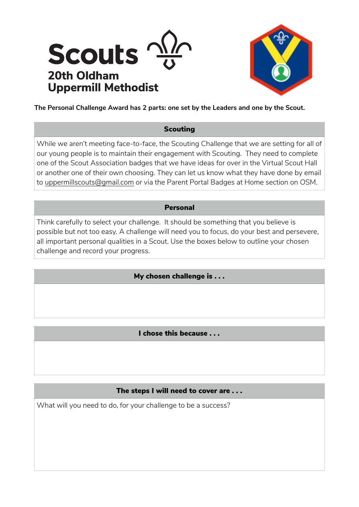



**The Personal Challenge Award has 2 parts: one set by the Leaders and one by the Scout.** 

### **Scouting**

While we aren't meeting face-to-face, the Scouting Challenge that we are setting for all of our young people is to maintain their engagement with Scouting. They need to complete one of the Scout Association badges that we have ideas for over in the Virtual Scout Hall or another one of their own choosing. They can let us know what they have done by email to [uppermillscouts@gmail.com](mailto:uppermillscouts@gmail.com) or via the Parent Portal Badges at Home section on OSM.

### Personal

Think carefully to select your challenge. It should be something that you believe is possible but not too easy. A challenge will need you to focus, do your best and persevere, all important personal qualities in a Scout. Use the boxes below to outline your chosen challenge and record your progress.

# My chosen challenge is . . .

# I chose this because . . .

### The steps I will need to cover are . . .

What will you need to do, for your challenge to be a success?